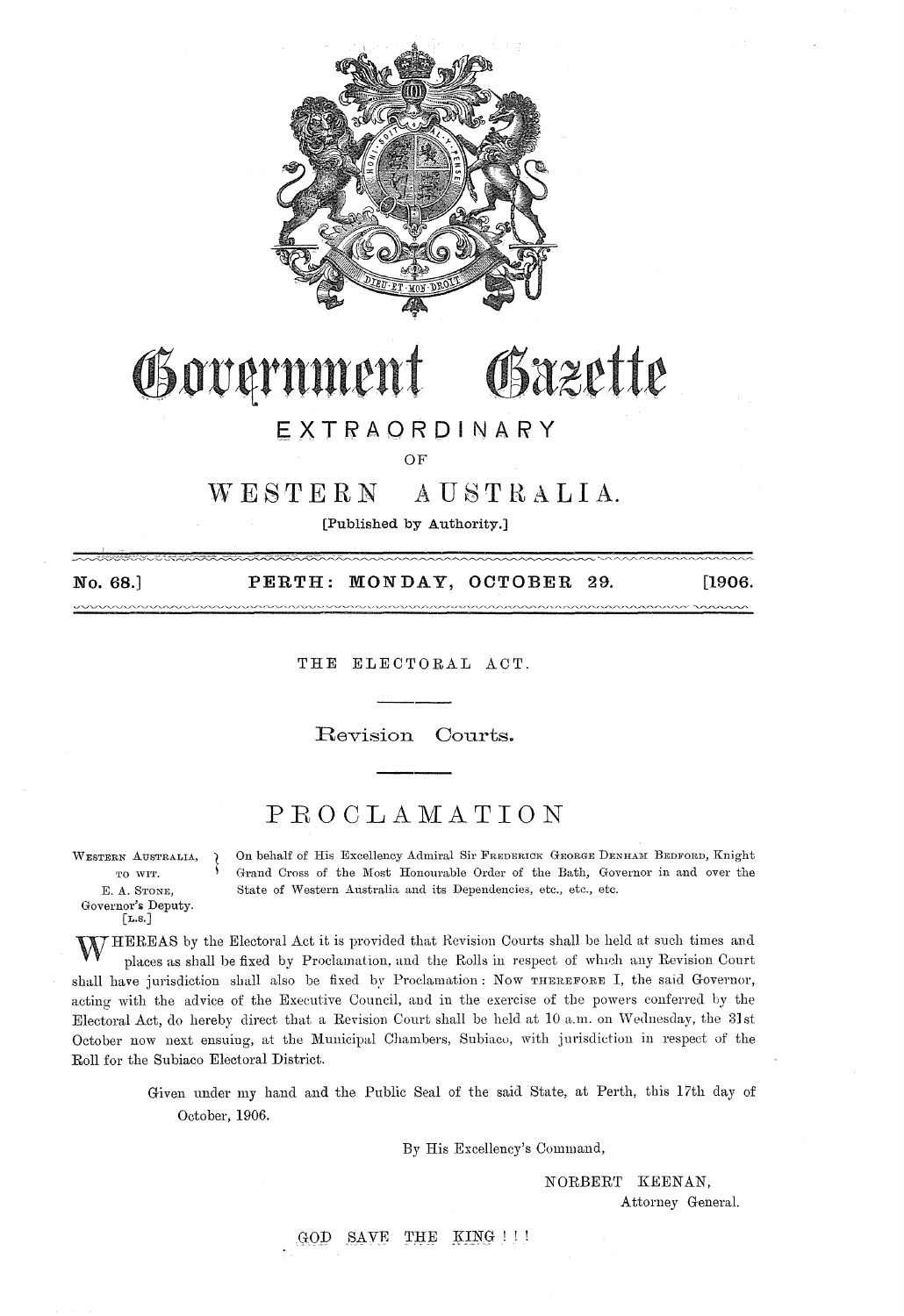

### Government Osazette

#### **EXT.RAQROI NARY**

OF

#### $W E S T E R N A U S T R A L I A.$

[Published by Authority.]

No. 68.] PERTH: MONDAY, OCTOBER 29. [1906. <u>aaanaana</u>

THE ELECTORAL ACT.

Revision Oourts.

#### **PROCLAMATION**

WESTERN AUSTRALIA, E. A. STONE, Governor's Deputy. [L.S.]

On behalf of His Excellency Admiral Sir FREDERICK GEORGE DENHAM BEDFORD, Knight Grand Cross of the Most Honourable Order of the Bath, Governor in and over the State of Western Australia and its Dependencies, etc., etc., etc.

WHEREAS by the Electoral Act it is provided that Revision Courts shall be held at such times and places as shall be fixed by Proclamation, and the Rolls in respect of which any Revision Court shall have jurisdiction shall also be fixed by Proclamation: Now THEREFORE I, the said Governor, acting' with the advice of the Exeeutive Council, and in the exercise of the powers conferred by the Electoral Act, do hereby direct that a Revision Court shall be held at 10 a.m. on Wednesday, the 31st October now next ensuing, at the Municipal Chambers, Subiaco, with jurisdiction in respect of the Roll for the Subiaco Electoral District.

> Given under my hand and the Public Seal of the said State, at Perth, this 17th day of October, 1906.

> > By His Excellency's Command,

NORBERT KEENAN, Attorney General.

GOD SAVE THE KING !!!